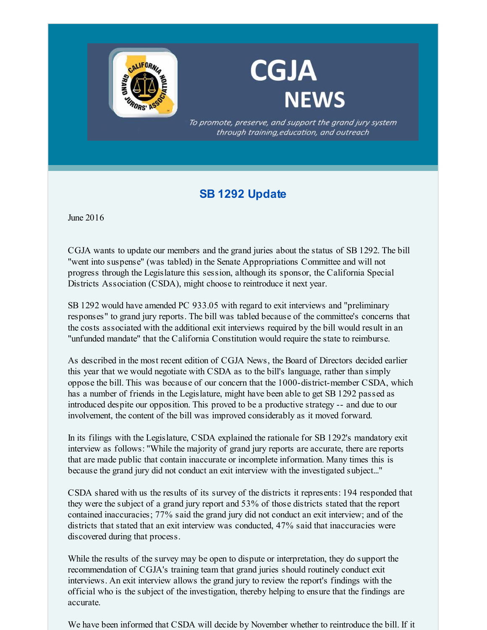

## **CGJA NEWS**

To promote, preserve, and support the grand jury system through training, education, and outreach

## **SB 1292 Update**

June 2016

CGJA wants to update our members and the grand juries about the status of SB 1292. The bill "went into suspense" (was tabled) in the Senate Appropriations Committee and will not progress through the Legislature this session, although its sponsor, the California Special Districts Association (CSDA), might choose to reintroduce it next year.

SB 1292 would have amended PC 933.05 with regard to exit interviews and "preliminary responses" to grand jury reports. The bill was tabled because of the committee's concerns that the costs associated with the additional exit interviews required by the bill would result in an "unfunded mandate" that the California Constitution would require the state to reimburse.

As described in the most recent edition of CGJA News, the Board of Directors decided earlier this year that we would negotiate with CSDA as to the bill's language, rather than simply oppose the bill. This was because of our concern that the 1000-district-member CSDA, which has a number of friends in the Legislature, might have been able to get SB 1292 passed as introduced despite our opposition. This proved to be a productive strategy -- and due to our involvement, the content of the bill was improved considerably as it moved forward.

In its filings with the Legislature, CSDA explained the rationale for SB 1292's mandatory exit interview as follows: "While the majority of grand jury reports are accurate, there are reports that are made public that contain inaccurate or incomplete information. Many times this is because the grand jury did not conduct an exit interview with the investigated subject..."

CSDA shared with us the results of its survey of the districts it represents: 194 responded that they were the subject of a grand jury report and 53% of those districts stated that the report contained inaccuracies; 77% said the grand jury did not conduct an exit interview; and of the districts that stated that an exit interview was conducted, 47% said that inaccuracies were discovered during that process.

While the results of the survey may be open to dispute or interpretation, they do support the recommendation of CGJA's training team that grand juries should routinely conduct exit interviews. An exit interview allows the grand jury to review the report's findings with the official who is the subject of the investigation, thereby helping to ensure that the findings are accurate.

We have been informed that CSDA will decide by November whether to reintroduce the bill. If it